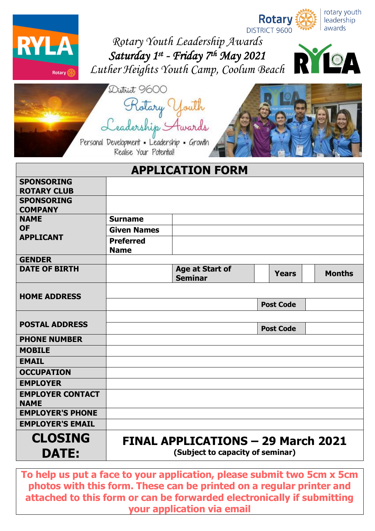



*Rotary Youth Leadership Awards Saturday 1 st - Friday 7 th May 2021 [Luther Heights Youth Camp,](http://site.lutherheights.org.au/) Coolum Beach*



| District 9600                                                         |
|-----------------------------------------------------------------------|
| Rotary Youth                                                          |
| Leadership Awards                                                     |
| Personal Development . Leadership . Growth<br>Realise Your Potential! |



|                                     |                                  | <b>APPLICATION FORM</b>                   |                  |               |  |  |  |  |
|-------------------------------------|----------------------------------|-------------------------------------------|------------------|---------------|--|--|--|--|
| <b>SPONSORING</b>                   |                                  |                                           |                  |               |  |  |  |  |
| <b>ROTARY CLUB</b>                  |                                  |                                           |                  |               |  |  |  |  |
| <b>SPONSORING</b><br><b>COMPANY</b> |                                  |                                           |                  |               |  |  |  |  |
| <b>NAME</b>                         | <b>Surname</b>                   |                                           |                  |               |  |  |  |  |
| <b>OF</b>                           | <b>Given Names</b>               |                                           |                  |               |  |  |  |  |
| <b>APPLICANT</b>                    | <b>Preferred</b><br><b>Name</b>  |                                           |                  |               |  |  |  |  |
| <b>GENDER</b>                       |                                  |                                           |                  |               |  |  |  |  |
| <b>DATE OF BIRTH</b>                |                                  | Age at Start of<br><b>Seminar</b>         | <b>Years</b>     | <b>Months</b> |  |  |  |  |
|                                     |                                  |                                           |                  |               |  |  |  |  |
| <b>HOME ADDRESS</b>                 |                                  |                                           | <b>Post Code</b> |               |  |  |  |  |
|                                     |                                  |                                           |                  |               |  |  |  |  |
| <b>POSTAL ADDRESS</b>               |                                  |                                           | <b>Post Code</b> |               |  |  |  |  |
| <b>PHONE NUMBER</b>                 |                                  |                                           |                  |               |  |  |  |  |
| <b>MOBILE</b>                       |                                  |                                           |                  |               |  |  |  |  |
| <b>EMAIL</b>                        |                                  |                                           |                  |               |  |  |  |  |
| <b>OCCUPATION</b>                   |                                  |                                           |                  |               |  |  |  |  |
| <b>EMPLOYER</b>                     |                                  |                                           |                  |               |  |  |  |  |
| <b>EMPLOYER CONTACT</b>             |                                  |                                           |                  |               |  |  |  |  |
| <b>NAME</b>                         |                                  |                                           |                  |               |  |  |  |  |
| <b>EMPLOYER'S PHONE</b>             |                                  |                                           |                  |               |  |  |  |  |
| <b>EMPLOYER'S EMAIL</b>             |                                  |                                           |                  |               |  |  |  |  |
| <b>CLOSING</b>                      |                                  | <b>FINAL APPLICATIONS - 29 March 2021</b> |                  |               |  |  |  |  |
| <b>DATE:</b>                        | (Subject to capacity of seminar) |                                           |                  |               |  |  |  |  |

**To help us put a face to your application, please submit two 5cm x 5cm photos with this form. These can be printed on a regular printer and attached to this form or can be forwarded electronically if submitting your application via email**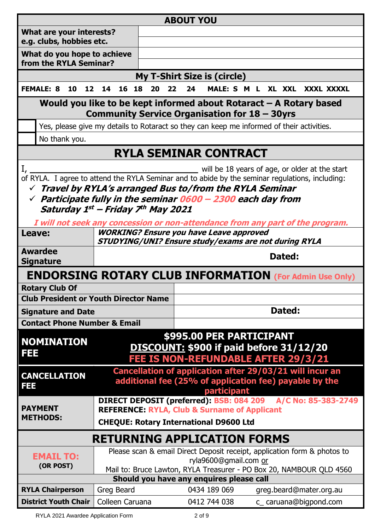|                                                                                                                       |                                         |  |    |    |                                                                                              |    |                                                                                                                                  |    | <b>ABOUT YOU</b> |    |                                                |  |  |        |  |                         |            |  |
|-----------------------------------------------------------------------------------------------------------------------|-----------------------------------------|--|----|----|----------------------------------------------------------------------------------------------|----|----------------------------------------------------------------------------------------------------------------------------------|----|------------------|----|------------------------------------------------|--|--|--------|--|-------------------------|------------|--|
|                                                                                                                       | What are your interests?                |  |    |    |                                                                                              |    |                                                                                                                                  |    |                  |    |                                                |  |  |        |  |                         |            |  |
|                                                                                                                       | e.g. clubs, hobbies etc.                |  |    |    |                                                                                              |    |                                                                                                                                  |    |                  |    |                                                |  |  |        |  |                         |            |  |
|                                                                                                                       | What do you hope to achieve             |  |    |    |                                                                                              |    |                                                                                                                                  |    |                  |    |                                                |  |  |        |  |                         |            |  |
|                                                                                                                       | from the RYLA Seminar?                  |  |    |    |                                                                                              |    |                                                                                                                                  |    |                  |    |                                                |  |  |        |  |                         |            |  |
|                                                                                                                       |                                         |  |    |    |                                                                                              |    | <b>My T-Shirt Size is (circle)</b>                                                                                               |    |                  |    |                                                |  |  |        |  |                         |            |  |
|                                                                                                                       | <b>FEMALE: 8</b>                        |  | 10 | 12 | 14                                                                                           | 16 | 18<br>20                                                                                                                         | 22 |                  | 24 | MALE: S M                                      |  |  | XL XXL |  |                         | XXXL XXXXL |  |
| Would you like to be kept informed about Rotaract $-$ A Rotary based<br>Community Service Organisation for 18 - 30yrs |                                         |  |    |    |                                                                                              |    |                                                                                                                                  |    |                  |    |                                                |  |  |        |  |                         |            |  |
|                                                                                                                       |                                         |  |    |    |                                                                                              |    | Yes, please give my details to Rotaract so they can keep me informed of their activities.                                        |    |                  |    |                                                |  |  |        |  |                         |            |  |
|                                                                                                                       | No thank you.                           |  |    |    |                                                                                              |    |                                                                                                                                  |    |                  |    |                                                |  |  |        |  |                         |            |  |
|                                                                                                                       |                                         |  |    |    |                                                                                              |    | RYLA SEMINAR CONTRACT                                                                                                            |    |                  |    |                                                |  |  |        |  |                         |            |  |
|                                                                                                                       |                                         |  |    |    |                                                                                              |    |                                                                                                                                  |    |                  |    |                                                |  |  |        |  |                         |            |  |
|                                                                                                                       |                                         |  |    |    |                                                                                              |    | of RYLA. I agree to attend the RYLA Seminar and to abide by the seminar regulations, including:                                  |    |                  |    | will be 18 years of age, or older at the start |  |  |        |  |                         |            |  |
|                                                                                                                       |                                         |  |    |    |                                                                                              |    | $\checkmark$ Travel by RYLA's arranged Bus to/from the RYLA Seminar                                                              |    |                  |    |                                                |  |  |        |  |                         |            |  |
|                                                                                                                       |                                         |  |    |    |                                                                                              |    | $\checkmark$ Participate fully in the seminar 0600 - 2300 each day from                                                          |    |                  |    |                                                |  |  |        |  |                         |            |  |
|                                                                                                                       |                                         |  |    |    |                                                                                              |    | Saturday 1st - Friday 7th May 2021                                                                                               |    |                  |    |                                                |  |  |        |  |                         |            |  |
|                                                                                                                       |                                         |  |    |    |                                                                                              |    |                                                                                                                                  |    |                  |    |                                                |  |  |        |  |                         |            |  |
| Leave:                                                                                                                |                                         |  |    |    |                                                                                              |    | I will not seek any concession or non-attendance from any part of the program.<br><b>WORKING? Ensure you have Leave approved</b> |    |                  |    |                                                |  |  |        |  |                         |            |  |
|                                                                                                                       |                                         |  |    |    |                                                                                              |    | STUDYING/UNI? Ensure study/exams are not during RYLA                                                                             |    |                  |    |                                                |  |  |        |  |                         |            |  |
|                                                                                                                       | <b>Awardee</b>                          |  |    |    |                                                                                              |    |                                                                                                                                  |    |                  |    |                                                |  |  | Dated: |  |                         |            |  |
|                                                                                                                       | <b>Signature</b>                        |  |    |    |                                                                                              |    |                                                                                                                                  |    |                  |    |                                                |  |  |        |  |                         |            |  |
|                                                                                                                       |                                         |  |    |    |                                                                                              |    | <b>ENDORSING ROTARY CLUB INFORMATION (For Admin Use Only)</b>                                                                    |    |                  |    |                                                |  |  |        |  |                         |            |  |
|                                                                                                                       | <b>Rotary Club Of</b>                   |  |    |    |                                                                                              |    |                                                                                                                                  |    |                  |    |                                                |  |  |        |  |                         |            |  |
|                                                                                                                       |                                         |  |    |    |                                                                                              |    | <b>Club President or Youth Director Name</b>                                                                                     |    |                  |    |                                                |  |  |        |  |                         |            |  |
|                                                                                                                       | <b>Signature and Date</b>               |  |    |    |                                                                                              |    |                                                                                                                                  |    |                  |    |                                                |  |  | Dated: |  |                         |            |  |
|                                                                                                                       | <b>Contact Phone Number &amp; Email</b> |  |    |    |                                                                                              |    |                                                                                                                                  |    |                  |    |                                                |  |  |        |  |                         |            |  |
| FEE                                                                                                                   | <b>NOMINATION</b>                       |  |    |    |                                                                                              |    | DISCOUNT: \$900 if paid before 31/12/20<br><b>FEE IS NON-REFUNDABLE AFTER 29/3/21</b>                                            |    |                  |    | \$995.00 PER PARTICIPANT                       |  |  |        |  |                         |            |  |
| FEE                                                                                                                   | <b>CANCELLATION</b>                     |  |    |    |                                                                                              |    | Cancellation of application after 29/03/21 will incur an<br>additional fee (25% of application fee) payable by the               |    |                  |    | participant                                    |  |  |        |  |                         |            |  |
|                                                                                                                       | <b>PAYMENT</b>                          |  |    |    |                                                                                              |    | DIRECT DEPOSIT (preferred): BSB: 084 209 A/C No: 85-383-2749<br><b>REFERENCE: RYLA, Club &amp; Surname of Applicant</b>          |    |                  |    |                                                |  |  |        |  |                         |            |  |
| <b>METHODS:</b><br><b>CHEQUE: Rotary International D9600 Ltd</b>                                                      |                                         |  |    |    |                                                                                              |    |                                                                                                                                  |    |                  |    |                                                |  |  |        |  |                         |            |  |
|                                                                                                                       | <b>RETURNING APPLICATION FORMS</b>      |  |    |    |                                                                                              |    |                                                                                                                                  |    |                  |    |                                                |  |  |        |  |                         |            |  |
|                                                                                                                       | <b>EMAIL TO:</b>                        |  |    |    |                                                                                              |    | Please scan & email Direct Deposit receipt, application form & photos to                                                         |    |                  |    |                                                |  |  |        |  |                         |            |  |
|                                                                                                                       | (OR POST)                               |  |    |    | ryla9600@gmail.com or<br>Mail to: Bruce Lawton, RYLA Treasurer - PO Box 20, NAMBOUR QLD 4560 |    |                                                                                                                                  |    |                  |    |                                                |  |  |        |  |                         |            |  |
|                                                                                                                       |                                         |  |    |    |                                                                                              |    | Should you have any enquires please call                                                                                         |    |                  |    |                                                |  |  |        |  |                         |            |  |
|                                                                                                                       | <b>RYLA Chairperson</b>                 |  |    |    | Greg Beard                                                                                   |    |                                                                                                                                  |    |                  |    | 0434 189 069                                   |  |  |        |  | greg.beard@mater.org.au |            |  |
|                                                                                                                       | <b>District Youth Chair</b>             |  |    |    |                                                                                              |    |                                                                                                                                  |    |                  |    |                                                |  |  |        |  |                         |            |  |
|                                                                                                                       |                                         |  |    |    |                                                                                              |    | Colleen Caruana                                                                                                                  |    |                  |    | 0412 744 038                                   |  |  |        |  | c_caruana@bigpond.com   |            |  |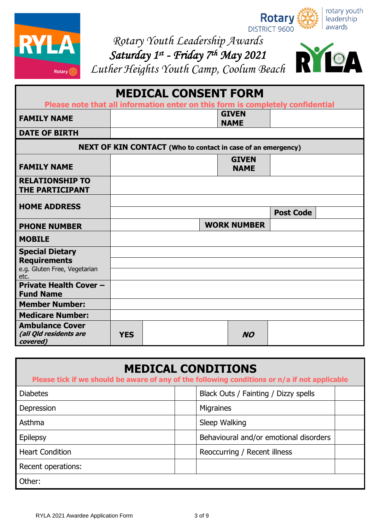

rotary youth Rotary leadership DISTRICT 9600 awards

*Rotary Youth Leadership Awards*

*Saturday 1 st - Friday 7 th May 2021 [Luther Heights Youth Camp,](http://site.lutherheights.org.au/) Coolum Beach*



| <b>MEDICAL CONSENT FORM</b>                                                    |            |  |  |                             |                  |  |  |
|--------------------------------------------------------------------------------|------------|--|--|-----------------------------|------------------|--|--|
| Please note that all information enter on this form is completely confidential |            |  |  |                             |                  |  |  |
| <b>FAMILY NAME</b>                                                             |            |  |  | <b>GIVEN</b><br><b>NAME</b> |                  |  |  |
| <b>DATE OF BIRTH</b>                                                           |            |  |  |                             |                  |  |  |
| <b>NEXT OF KIN CONTACT</b> (Who to contact in case of an emergency)            |            |  |  |                             |                  |  |  |
| <b>FAMILY NAME</b>                                                             |            |  |  | <b>GIVEN</b><br><b>NAME</b> |                  |  |  |
| <b>RELATIONSHIP TO</b><br><b>THE PARTICIPANT</b>                               |            |  |  |                             |                  |  |  |
| <b>HOME ADDRESS</b>                                                            |            |  |  |                             | <b>Post Code</b> |  |  |
| <b>PHONE NUMBER</b>                                                            |            |  |  | <b>WORK NUMBER</b>          |                  |  |  |
| <b>MOBILE</b>                                                                  |            |  |  |                             |                  |  |  |
| <b>Special Dietary</b>                                                         |            |  |  |                             |                  |  |  |
| <b>Requirements</b>                                                            |            |  |  |                             |                  |  |  |
| e.g. Gluten Free, Vegetarian<br>etc.                                           |            |  |  |                             |                  |  |  |
| <b>Private Health Cover -</b><br><b>Fund Name</b>                              |            |  |  |                             |                  |  |  |
| <b>Member Number:</b>                                                          |            |  |  |                             |                  |  |  |
| <b>Medicare Number:</b>                                                        |            |  |  |                             |                  |  |  |
| <b>Ambulance Cover</b><br>(all Qld residents are<br>covered)                   | <b>YES</b> |  |  | <b>NO</b>                   |                  |  |  |

| <b>MEDICAL CONDITIONS</b><br>Please tick if we should be aware of any of the following conditions or n/a if not applicable |                                        |  |  |  |  |  |
|----------------------------------------------------------------------------------------------------------------------------|----------------------------------------|--|--|--|--|--|
| <b>Diabetes</b>                                                                                                            | Black Outs / Fainting / Dizzy spells   |  |  |  |  |  |
| Depression                                                                                                                 | Migraines                              |  |  |  |  |  |
| Asthma                                                                                                                     | Sleep Walking                          |  |  |  |  |  |
| Epilepsy                                                                                                                   | Behavioural and/or emotional disorders |  |  |  |  |  |
| <b>Heart Condition</b>                                                                                                     | Reoccurring / Recent illness           |  |  |  |  |  |
| Recent operations:                                                                                                         |                                        |  |  |  |  |  |
| Other:                                                                                                                     |                                        |  |  |  |  |  |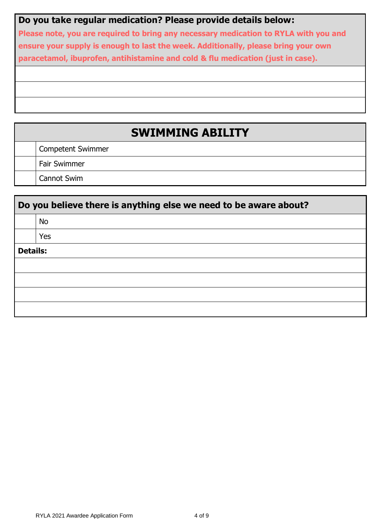## **Do you take regular medication? Please provide details below:**

**Please note, you are required to bring any necessary medication to RYLA with you and ensure your supply is enough to last the week. Additionally, please bring your own paracetamol, ibuprofen, antihistamine and cold & flu medication (just in case).** 

# **SWIMMING ABILITY**

Competent Swimmer

Fair Swimmer

Cannot Swim

|                 | Do you believe there is anything else we need to be aware about? |
|-----------------|------------------------------------------------------------------|
|                 | <b>No</b>                                                        |
|                 | Yes                                                              |
| <b>Details:</b> |                                                                  |
|                 |                                                                  |
|                 |                                                                  |
|                 |                                                                  |
|                 |                                                                  |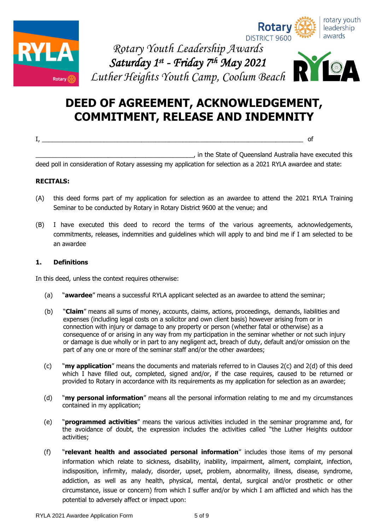







# **DEED OF AGREEMENT, ACKNOWLEDGEMENT, COMMITMENT, RELEASE AND INDEMNITY**

I, \_\_\_\_\_\_\_\_\_\_\_\_\_\_\_\_\_\_\_\_\_\_\_\_\_\_\_\_\_\_\_\_\_\_\_\_\_\_\_\_\_\_\_\_\_\_\_\_\_\_\_\_\_\_\_\_\_\_\_\_\_\_\_\_\_\_\_\_\_\_\_\_\_\_\_\_ of

\_\_\_\_\_\_\_\_\_\_\_\_\_\_\_\_\_\_\_\_\_\_\_\_\_\_\_\_\_\_\_\_\_\_\_\_\_\_\_\_\_\_\_\_\_\_, in the State of Queensland Australia have executed this

deed poll in consideration of Rotary assessing my application for selection as a 2021 RYLA awardee and state:

#### **RECITALS:**

- (A) this deed forms part of my application for selection as an awardee to attend the 2021 RYLA Training Seminar to be conducted by Rotary in Rotary District 9600 at the venue; and
- (B) I have executed this deed to record the terms of the various agreements, acknowledgements, commitments, releases, indemnities and guidelines which will apply to and bind me if I am selected to be an awardee

#### **1. Definitions**

In this deed, unless the context requires otherwise:

- (a) "**awardee**" means a successful RYLA applicant selected as an awardee to attend the seminar;
- (b) "**Claim**" means all sums of money, accounts, claims, actions, proceedings, demands, liabilities and expenses (including legal costs on a solicitor and own client basis) however arising from or in connection with injury or damage to any property or person (whether fatal or otherwise) as a consequence of or arising in any way from my participation in the seminar whether or not such injury or damage is due wholly or in part to any negligent act, breach of duty, default and/or omission on the part of any one or more of the seminar staff and/or the other awardees;
- (c) "**my application**" means the documents and materials referred to in Clauses 2(c) and 2(d) of this deed which I have filled out, completed, signed and/or, if the case requires, caused to be returned or provided to Rotary in accordance with its requirements as my application for selection as an awardee;
- (d) "**my personal information**" means all the personal information relating to me and my circumstances contained in my application;
- (e) "**programmed activities**" means the various activities included in the seminar programme and, for the avoidance of doubt, the expression includes the activities called "the Luther Heights outdoor activities;
- (f) "**relevant health and associated personal information**" includes those items of my personal information which relate to sickness, disability, inability, impairment, ailment, complaint, infection, indisposition, infirmity, malady, disorder, upset, problem, abnormality, illness, disease, syndrome, addiction, as well as any health, physical, mental, dental, surgical and/or prosthetic or other circumstance, issue or concern) from which I suffer and/or by which I am afflicted and which has the potential to adversely affect or impact upon: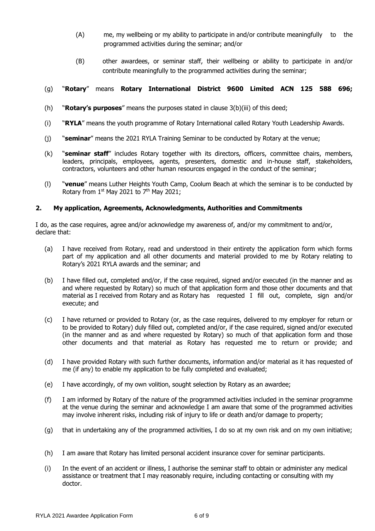- (A) me, my wellbeing or my ability to participate in and/or contribute meaningfully to the programmed activities during the seminar; and/or
- (B) other awardees, or seminar staff, their wellbeing or ability to participate in and/or contribute meaningfully to the programmed activities during the seminar;

#### (g) "**Rotary**" means **Rotary International District 9600 Limited ACN 125 588 696;**

- (h) "**Rotary's purposes**" means the purposes stated in clause 3(b)(iii) of this deed;
- (i) "**RYLA**" means the youth programme of Rotary International called Rotary Youth Leadership Awards.
- (j) "**seminar**" means the 2021 RYLA Training Seminar to be conducted by Rotary at the venue;
- (k) "**seminar staff**" includes Rotary together with its directors, officers, committee chairs, members, leaders, principals, employees, agents, presenters, domestic and in-house staff, stakeholders, contractors, volunteers and other human resources engaged in the conduct of the seminar;
- (l) "**venue**" means Luther Heights Youth Camp, Coolum Beach at which the seminar is to be conducted by Rotary from  $1^{st}$  May 2021 to  $7^{th}$  May 2021;

#### **2. My application, Agreements, Acknowledgments, Authorities and Commitments**

I do, as the case requires, agree and/or acknowledge my awareness of, and/or my commitment to and/or, declare that:

- (a) I have received from Rotary, read and understood in their entirety the application form which forms part of my application and all other documents and material provided to me by Rotary relating to Rotary's 2021 RYLA awards and the seminar; and
- (b) I have filled out, completed and/or, if the case required, signed and/or executed (in the manner and as and where requested by Rotary) so much of that application form and those other documents and that material as I received from Rotary and as Rotary has requested I fill out, complete, sign and/or execute; and
- (c) I have returned or provided to Rotary (or, as the case requires, delivered to my employer for return or to be provided to Rotary) duly filled out, completed and/or, if the case required, signed and/or executed (in the manner and as and where requested by Rotary) so much of that application form and those other documents and that material as Rotary has requested me to return or provide; and
- (d) I have provided Rotary with such further documents, information and/or material as it has requested of me (if any) to enable my application to be fully completed and evaluated;
- (e) I have accordingly, of my own volition, sought selection by Rotary as an awardee;
- (f) I am informed by Rotary of the nature of the programmed activities included in the seminar programme at the venue during the seminar and acknowledge I am aware that some of the programmed activities may involve inherent risks, including risk of injury to life or death and/or damage to property;
- (g) that in undertaking any of the programmed activities, I do so at my own risk and on my own initiative;
- (h) I am aware that Rotary has limited personal accident insurance cover for seminar participants.
- (i) In the event of an accident or illness, I authorise the seminar staff to obtain or administer any medical assistance or treatment that I may reasonably require, including contacting or consulting with my doctor.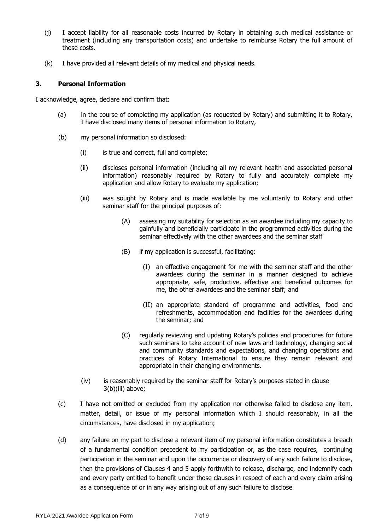- (j) I accept liability for all reasonable costs incurred by Rotary in obtaining such medical assistance or treatment (including any transportation costs) and undertake to reimburse Rotary the full amount of those costs.
- (k) I have provided all relevant details of my medical and physical needs.

#### **3. Personal Information**

I acknowledge, agree, declare and confirm that:

- (a) in the course of completing my application (as requested by Rotary) and submitting it to Rotary, I have disclosed many items of personal information to Rotary,
- (b) my personal information so disclosed:
	- (i) is true and correct, full and complete;
	- (ii) discloses personal information (including all my relevant health and associated personal information) reasonably required by Rotary to fully and accurately complete my application and allow Rotary to evaluate my application;
	- (iii) was sought by Rotary and is made available by me voluntarily to Rotary and other seminar staff for the principal purposes of:
		- (A) assessing my suitability for selection as an awardee including my capacity to gainfully and beneficially participate in the programmed activities during the seminar effectively with the other awardees and the seminar staff
		- (B) if my application is successful, facilitating:
			- (I) an effective engagement for me with the seminar staff and the other awardees during the seminar in a manner designed to achieve appropriate, safe, productive, effective and beneficial outcomes for me, the other awardees and the seminar staff; and
			- (II) an appropriate standard of programme and activities, food and refreshments, accommodation and facilities for the awardees during the seminar; and
		- (C) regularly reviewing and updating Rotary's policies and procedures for future such seminars to take account of new laws and technology, changing social and community standards and expectations, and changing operations and practices of Rotary International to ensure they remain relevant and appropriate in their changing environments.
	- (iv) is reasonably required by the seminar staff for Rotary's purposes stated in clause 3(b)(iii) above;
- (c) I have not omitted or excluded from my application nor otherwise failed to disclose any item, matter, detail, or issue of my personal information which I should reasonably, in all the circumstances, have disclosed in my application;
- (d) any failure on my part to disclose a relevant item of my personal information constitutes a breach of a fundamental condition precedent to my participation or, as the case requires, continuing participation in the seminar and upon the occurrence or discovery of any such failure to disclose, then the provisions of Clauses 4 and 5 apply forthwith to release, discharge, and indemnify each and every party entitled to benefit under those clauses in respect of each and every claim arising as a consequence of or in any way arising out of any such failure to disclose.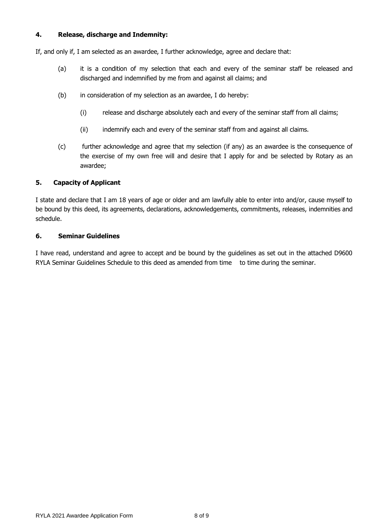#### **4. Release, discharge and Indemnity:**

If, and only if, I am selected as an awardee, I further acknowledge, agree and declare that:

- (a) it is a condition of my selection that each and every of the seminar staff be released and discharged and indemnified by me from and against all claims; and
- (b) in consideration of my selection as an awardee, I do hereby:
	- (i) release and discharge absolutely each and every of the seminar staff from all claims;
	- (ii) indemnify each and every of the seminar staff from and against all claims.
- (c) further acknowledge and agree that my selection (if any) as an awardee is the consequence of the exercise of my own free will and desire that I apply for and be selected by Rotary as an awardee;

### **5. Capacity of Applicant**

I state and declare that I am 18 years of age or older and am lawfully able to enter into and/or, cause myself to be bound by this deed, its agreements, declarations, acknowledgements, commitments, releases, indemnities and schedule.

#### **6. Seminar Guidelines**

I have read, understand and agree to accept and be bound by the guidelines as set out in the attached D9600 RYLA Seminar Guidelines Schedule to this deed as amended from time to time during the seminar.